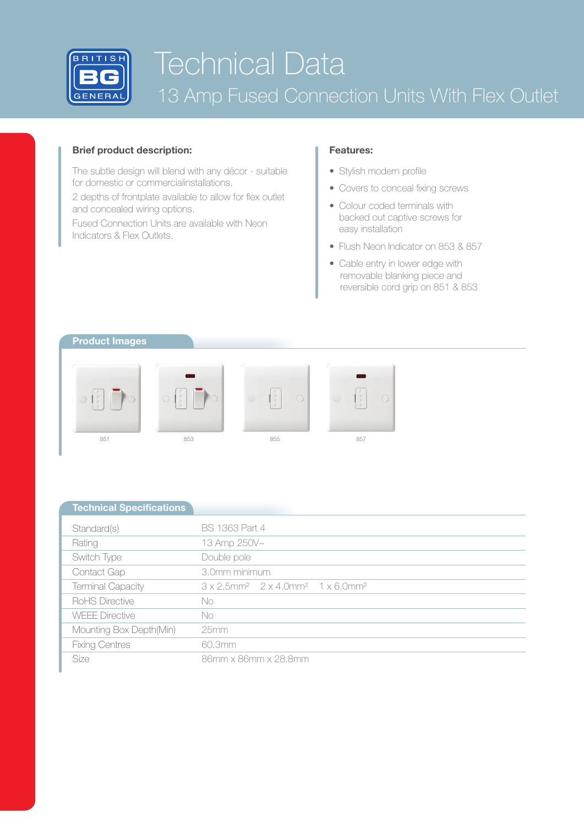

# Technical Data 13 Amp Fused Connection Units With Flex Outlet

## **Brief product description:**

The subtle design will blend with any décor - suitable for domestic or commercialinstallations.

2 depths of frontplate available to allow for flex outlet and concealed wiring options.

Fused Connection Units are available with Neon Indicators & Flex Outlets.

## **Features:**

- Stylish modern profile
- Covers to conceal fixing screws
- Colour coded terminals with backed out captive screws for easy installation
- Flush Neon Indicator on 853 & 857
- Cable entry in lower edge with removable blanking piece and reversible cord grip on 851 & 853

## **Product Images**



| <b>Technical Specifications</b> |                                                                                              |  |  |  |  |  |
|---------------------------------|----------------------------------------------------------------------------------------------|--|--|--|--|--|
| Standard(s)                     | <b>BS 1363 Part 4</b>                                                                        |  |  |  |  |  |
| Rating                          | 13 Amp 250V~                                                                                 |  |  |  |  |  |
| Switch Type                     | Double pole                                                                                  |  |  |  |  |  |
| Contact Gap                     | 3.0mm minimum                                                                                |  |  |  |  |  |
| <b>Terminal Capacity</b>        | $3 \times 2.5$ mm <sup>2</sup> $2 \times 4.0$ mm <sup>2</sup> $1 \times 6.0$ mm <sup>2</sup> |  |  |  |  |  |
| RoHS Directive                  | No                                                                                           |  |  |  |  |  |
| <b>WEFE Directive</b>           | No                                                                                           |  |  |  |  |  |
| Mounting Box Depth(Min)         | 25mm                                                                                         |  |  |  |  |  |
| <b>Fixing Centres</b>           | 60.3mm                                                                                       |  |  |  |  |  |
| <b>Size</b>                     | 86mm x 86mm x 28.8mm                                                                         |  |  |  |  |  |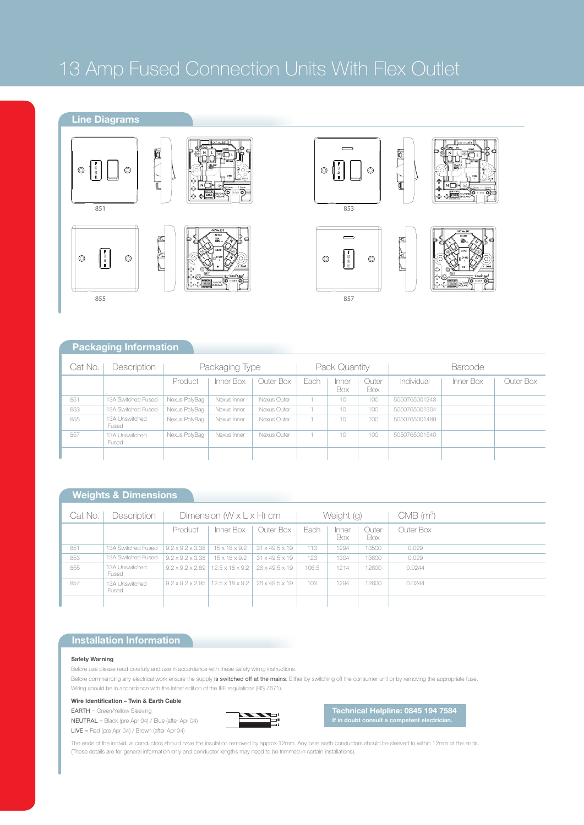## 13 Amp Fused Connection Units With Flex Outlet

## **Line Diagrams**

 $\bigcirc \begin{bmatrix} \overline{v} \\ \overline{v} \\ \overline{v} \end{bmatrix}$ 





F

 $\circledcirc$ 









|<br>|<br>|



857

## **Packaging Information**

| Cat No. | Description             | Packaging Type |             |             | Pack Quantity |              |              | Barcode       |           |           |
|---------|-------------------------|----------------|-------------|-------------|---------------|--------------|--------------|---------------|-----------|-----------|
|         |                         | Product        | Inner Box   | Outer Box   | Each          | Inner<br>Box | Outer<br>Box | Individual    | Inner Box | Outer Box |
| 851     | 13A Switched Fused      | Nexus PolyBag  | Nexus Inner | Nexus Outer |               | 10           | 100          | 5050765001243 |           |           |
| 853     | 13A Switched Fused      | Nexus PolyBag  | Nexus Inner | Nexus Outer |               | 10           | 100          | 5050765001304 |           |           |
| 855     | 13A Unswitched<br>Fused | Nexus PolyBag  | Nexus Inner | Nexus Outer |               | 10           | 100          | 5050765001489 |           |           |
| 857     | 13A Unswitched<br>Fused | Nexus PolyBag  | Nexus Inner | Nexus Outer |               | 10           | 100          | 5050765001540 |           |           |
|         |                         |                |             |             |               |              |              |               |           |           |

## **Weights & Dimensions**

| Cat No. | Description             | Dimension $(W \times L \times H)$ cm |                                                                 |                            | Weight (g) |              |              | $CMB$ (m <sup>3</sup> ) |
|---------|-------------------------|--------------------------------------|-----------------------------------------------------------------|----------------------------|------------|--------------|--------------|-------------------------|
|         |                         | Product                              | Inner Box                                                       | Outer Box                  | Fach       | Inner<br>Box | Outer<br>Box | Outer Box               |
| 851     | 13A Switched Fused      | $9.2 \times 9.2 \times 3.38$         | $15 \times 18 \times 9.2$                                       | $31 \times 49.5 \times 19$ | 113        | 1294         | 13500        | 0.029                   |
| 853     | 13A Switched Fused      | $9.2 \times 9.2 \times 3.38$         | $15 \times 18 \times 9.2$                                       | $31 \times 49.5 \times 19$ | 123        | 1304         | 13600        | 0.029                   |
| 855     | 13A Unswitched<br>Fused |                                      | $9.2 \times 9.2 \times 2.89$   12.5 x 18 x 9.2                  | $26 \times 49.5 \times 19$ | 106.5      | 1214         | 12600        | 0.0244                  |
| 857     | 13A Unswitched<br>Fused |                                      | $9.2 \times 9.2 \times 2.95$   12.5 x 18 x 9.2   26 x 49.5 x 19 |                            | 103        | 1294         | 12600        | 0.0244                  |
|         |                         |                                      |                                                                 |                            |            |              |              |                         |

#### **Installation Information**

#### **Safety Warning**

Before use please read carefully and use in accordance with these safety wiring instructions.

Before commencing any electrical work ensure the supply is switched off at the mains. Either by switching off the consumer unit or by removing the appropriate fuse. Wiring should be in accordance with the latest edition of the IEE regulations (BS 7671).

**Wire Identification – Twin & Earth Cable**

## EARTH = Green/Yellow Sleeving



LIVE = Red (pre Apr 04) / Brown (after Apr 04)



**Technical Helpline: 0845 194 7584 If in doubt consult a competent electrician.**

The ends of the individual conductors should have the insulation removed by approx.12mm. Any bare earth conductors should be sleeved to within 12mm of the ends. (These details are for general information only and conductor lengths may need to be trimmed in certain installations).